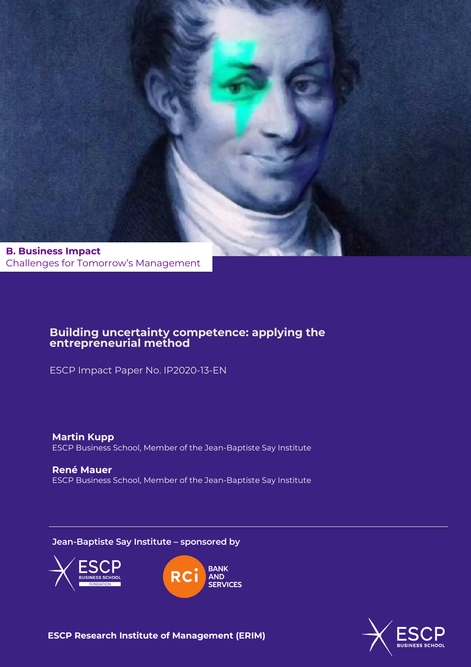

Challenges for Tomorrow's Management

## **Building uncertainty competence: applying the entrepreneurial method**

ESCP Impact Paper No. IP2020-13-EN

**Martin Kupp**  ESCP Business School, Member of the Jean-Baptiste Say Institute

**René Mauer**  ESCP Business School, Member of the Jean-Baptiste Say Institute

**Jean-Baptiste Say Institute – sponsored by**







**ESCP Research Institute of Management (ERIM)**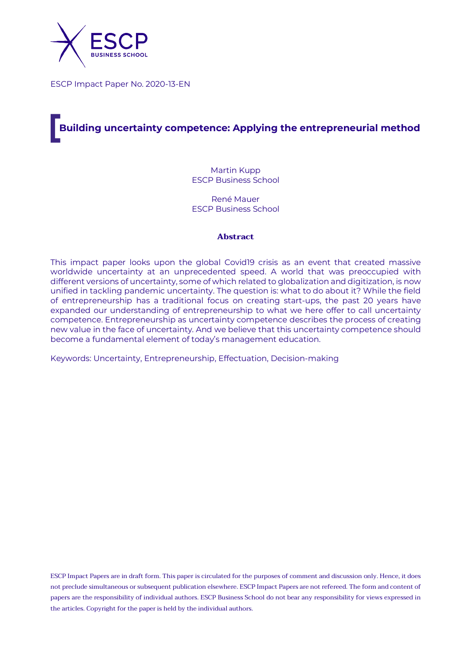

ESCP Impact Paper No. 2020-13-EN

# **Building uncertainty competence: Applying the entrepreneurial method**

Martin Kupp ESCP Business School

René Mauer ESCP Business School

#### **Abstract**

This impact paper looks upon the global Covid19 crisis as an event that created massive worldwide uncertainty at an unprecedented speed. A world that was preoccupied with different versions of uncertainty, some of which related to globalization and digitization, is now unified in tackling pandemic uncertainty. The question is: what to do about it? While the field of entrepreneurship has a traditional focus on creating start-ups, the past 20 years have expanded our understanding of entrepreneurship to what we here offer to call uncertainty competence. Entrepreneurship as uncertainty competence describes the process of creating new value in the face of uncertainty. And we believe that this uncertainty competence should become a fundamental element of today's management education.

Keywords: Uncertainty, Entrepreneurship, Effectuation, Decision-making

ESCP Impact Papers are in draft form. This paper is circulated for the purposes of comment and discussion only. Hence, it does not preclude simultaneous or subsequent publication elsewhere. ESCP Impact Papers are not refereed. The form and content of papers are the responsibility of individual authors. ESCP Business School do not bear any responsibility for views expressed in the articles. Copyright for the paper is held by the individual authors.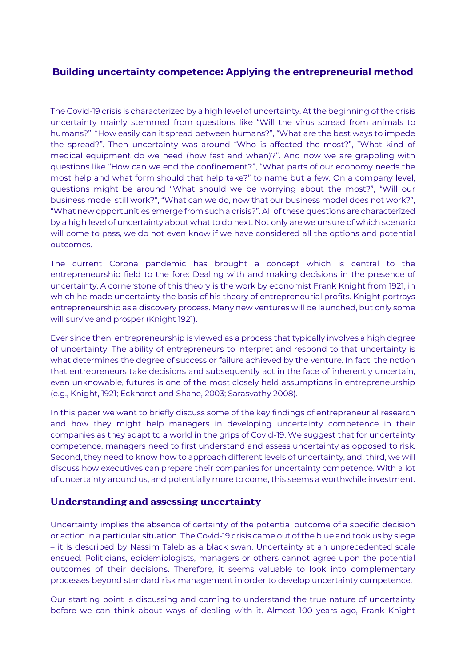## **Building uncertainty competence: Applying the entrepreneurial method**

The Covid-19 crisis is characterized by a high level of uncertainty. At the beginning of the crisis uncertainty mainly stemmed from questions like "Will the virus spread from animals to humans?", "How easily can it spread between humans?", "What are the best ways to impede the spread?". Then uncertainty was around "Who is affected the most?", "What kind of medical equipment do we need (how fast and when)?". And now we are grappling with questions like "How can we end the confinement?", "What parts of our economy needs the most help and what form should that help take?" to name but a few. On a company level, questions might be around "What should we be worrying about the most?", "Will our business model still work?", "What can we do, now that our business model does not work?", "What new opportunities emerge from such a crisis?". All of these questions are characterized by a high level of uncertainty about what to do next. Not only are we unsure of which scenario will come to pass, we do not even know if we have considered all the options and potential outcomes.

The current Corona pandemic has brought a concept which is central to the entrepreneurship field to the fore: Dealing with and making decisions in the presence of uncertainty. A cornerstone of this theory is the work by economist Frank Knight from 1921, in which he made uncertainty the basis of his theory of entrepreneurial profits. Knight portrays entrepreneurship as a discovery process. Many new ventures will be launched, but only some will survive and prosper (Knight 1921).

Ever since then, entrepreneurship is viewed as a process that typically involves a high degree of uncertainty. The ability of entrepreneurs to interpret and respond to that uncertainty is what determines the degree of success or failure achieved by the venture. In fact, the notion that entrepreneurs take decisions and subsequently act in the face of inherently uncertain, even unknowable, futures is one of the most closely held assumptions in entrepreneurship (e.g., Knight, 1921; Eckhardt and Shane, 2003; Sarasvathy 2008).

In this paper we want to briefly discuss some of the key findings of entrepreneurial research and how they might help managers in developing uncertainty competence in their companies as they adapt to a world in the grips of Covid-19. We suggest that for uncertainty competence, managers need to first understand and assess uncertainty as opposed to risk. Second, they need to know how to approach different levels of uncertainty, and, third, we will discuss how executives can prepare their companies for uncertainty competence. With a lot of uncertainty around us, and potentially more to come, this seems a worthwhile investment.

#### **Understanding and assessing uncertainty**

Uncertainty implies the absence of certainty of the potential outcome of a specific decision or action in a particular situation. The Covid-19 crisis came out of the blue and took us by siege – it is described by Nassim Taleb as a black swan. Uncertainty at an unprecedented scale ensued. Politicians, epidemiologists, managers or others cannot agree upon the potential outcomes of their decisions. Therefore, it seems valuable to look into complementary processes beyond standard risk management in order to develop uncertainty competence.

Our starting point is discussing and coming to understand the true nature of uncertainty before we can think about ways of dealing with it. Almost 100 years ago, Frank Knight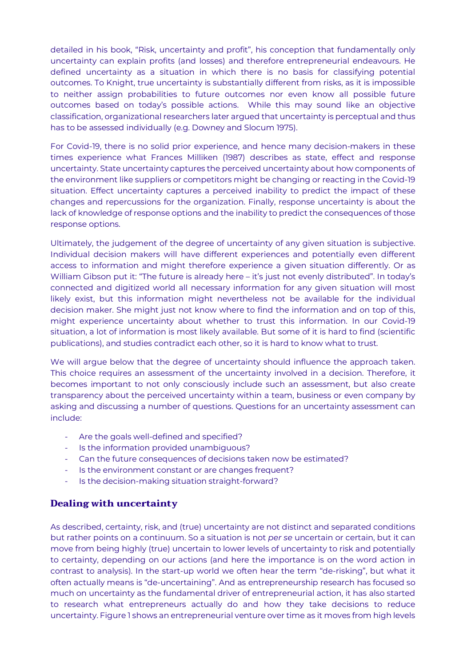detailed in his book, "Risk, uncertainty and profit", his conception that fundamentally only uncertainty can explain profits (and losses) and therefore entrepreneurial endeavours. He defined uncertainty as a situation in which there is no basis for classifying potential outcomes. To Knight, true uncertainty is substantially different from risks, as it is impossible to neither assign probabilities to future outcomes nor even know all possible future outcomes based on today's possible actions. While this may sound like an objective classification, organizational researchers later argued that uncertainty is perceptual and thus has to be assessed individually (e.g. Downey and Slocum 1975).

For Covid-19, there is no solid prior experience, and hence many decision-makers in these times experience what Frances Milliken (1987) describes as state, effect and response uncertainty. State uncertainty captures the perceived uncertainty about how components of the environment like suppliers or competitors might be changing or reacting in the Covid-19 situation. Effect uncertainty captures a perceived inability to predict the impact of these changes and repercussions for the organization. Finally, response uncertainty is about the lack of knowledge of response options and the inability to predict the consequences of those response options.

Ultimately, the judgement of the degree of uncertainty of any given situation is subjective. Individual decision makers will have different experiences and potentially even different access to information and might therefore experience a given situation differently. Or as William Gibson put it: "The future is already here – it's just not evenly distributed". In today's connected and digitized world all necessary information for any given situation will most likely exist, but this information might nevertheless not be available for the individual decision maker. She might just not know where to find the information and on top of this, might experience uncertainty about whether to trust this information. In our Covid-19 situation, a lot of information is most likely available. But some of it is hard to find (scientific publications), and studies contradict each other, so it is hard to know what to trust.

We will argue below that the degree of uncertainty should influence the approach taken. This choice requires an assessment of the uncertainty involved in a decision. Therefore, it becomes important to not only consciously include such an assessment, but also create transparency about the perceived uncertainty within a team, business or even company by asking and discussing a number of questions. Questions for an uncertainty assessment can include:

- Are the goals well-defined and specified?
- Is the information provided unambiguous?
- Can the future consequences of decisions taken now be estimated?
- Is the environment constant or are changes frequent?
- Is the decision-making situation straight-forward?

#### **Dealing with uncertainty**

As described, certainty, risk, and (true) uncertainty are not distinct and separated conditions but rather points on a continuum. So a situation is not *per se* uncertain or certain, but it can move from being highly (true) uncertain to lower levels of uncertainty to risk and potentially to certainty, depending on our actions (and here the importance is on the word action in contrast to analysis). In the start-up world we often hear the term "de-risking", but what it often actually means is "de-uncertaining". And as entrepreneurship research has focused so much on uncertainty as the fundamental driver of entrepreneurial action, it has also started to research what entrepreneurs actually do and how they take decisions to reduce uncertainty. Figure 1 shows an entrepreneurial venture over time as it moves from high levels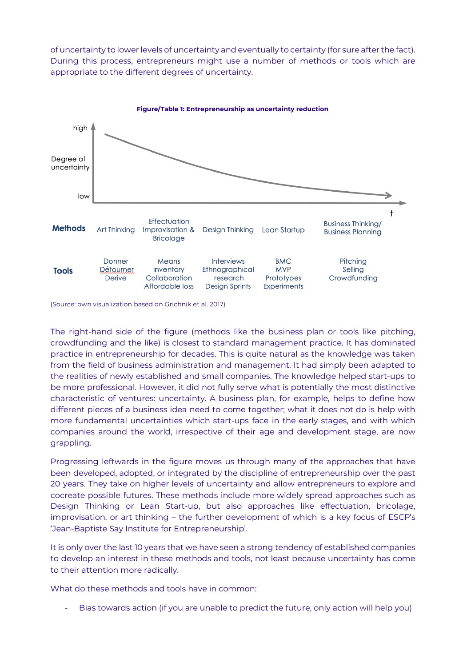of uncertainty to lower levels of uncertainty and eventually to certainty (for sure after the fact). During this process, entrepreneurs might use a number of methods or tools which are appropriate to the different degrees of uncertainty.



(Source: own visualization based on Grichnik et al. 2017)

The right-hand side of the figure (methods like the business plan or tools like pitching, crowdfunding and the like) is closest to standard management practice. It has dominated practice in entrepreneurship for decades. This is quite natural as the knowledge was taken from the field of business administration and management. It had simply been adapted to the realities of newly established and small companies. The knowledge helped start-ups to be more professional. However, it did not fully serve what is potentially the most distinctive characteristic of ventures: uncertainty. A business plan, for example, helps to define how different pieces of a business idea need to come together; what it does not do is help with more fundamental uncertainties which start-ups face in the early stages, and with which companies around the world, irrespective of their age and development stage, are now grappling.

Progressing leftwards in the figure moves us through many of the approaches that have been developed, adopted, or integrated by the discipline of entrepreneurship over the past 20 years. They take on higher levels of uncertainty and allow entrepreneurs to explore and cocreate possible futures. These methods include more widely spread approaches such as Design Thinking or Lean Start-up, but also approaches like effectuation, bricolage, improvisation, or art thinking – the further development of which is a key focus of ESCP's 'Jean-Baptiste Say Institute for Entrepreneurship'.

It is only over the last 10 years that we have seen a strong tendency of established companies to develop an interest in these methods and tools, not least because uncertainty has come to their attention more radically.

What do these methods and tools have in common:

Bias towards action (if you are unable to predict the future, only action will help you)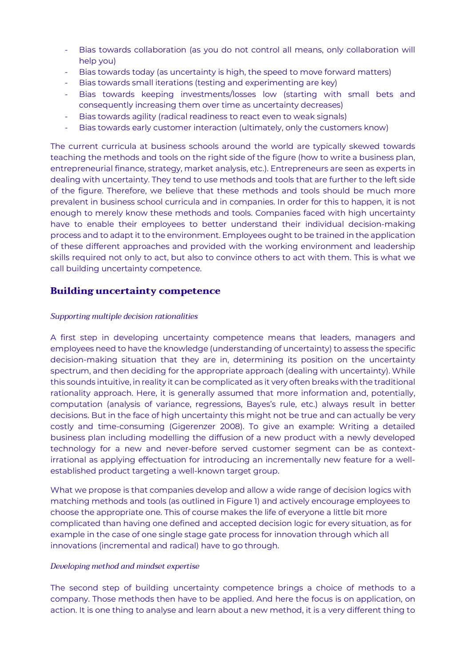- Bias towards collaboration (as you do not control all means, only collaboration will help you)
- Bias towards today (as uncertainty is high, the speed to move forward matters)
- Bias towards small iterations (testing and experimenting are key)
- Bias towards keeping investments/losses low (starting with small bets and consequently increasing them over time as uncertainty decreases)
- Bias towards agility (radical readiness to react even to weak signals)
- Bias towards early customer interaction (ultimately, only the customers know)

The current curricula at business schools around the world are typically skewed towards teaching the methods and tools on the right side of the figure (how to write a business plan, entrepreneurial finance, strategy, market analysis, etc.). Entrepreneurs are seen as experts in dealing with uncertainty. They tend to use methods and tools that are further to the left side of the figure. Therefore, we believe that these methods and tools should be much more prevalent in business school curricula and in companies. In order for this to happen, it is not enough to merely know these methods and tools. Companies faced with high uncertainty have to enable their employees to better understand their individual decision-making process and to adapt it to the environment. Employees ought to be trained in the application of these different approaches and provided with the working environment and leadership skills required not only to act, but also to convince others to act with them. This is what we call building uncertainty competence.

## **Building uncertainty competence**

#### *Supporting multiple decision rationalities*

A first step in developing uncertainty competence means that leaders, managers and employees need to have the knowledge (understanding of uncertainty) to assess the specific decision-making situation that they are in, determining its position on the uncertainty spectrum, and then deciding for the appropriate approach (dealing with uncertainty). While this sounds intuitive, in reality it can be complicated as it very often breaks with the traditional rationality approach. Here, it is generally assumed that more information and, potentially, computation (analysis of variance, regressions, Bayes's rule, etc.) always result in better decisions. But in the face of high uncertainty this might not be true and can actually be very costly and time-consuming (Gigerenzer 2008). To give an example: Writing a detailed business plan including modelling the diffusion of a new product with a newly developed technology for a new and never-before served customer segment can be as contextirrational as applying effectuation for introducing an incrementally new feature for a wellestablished product targeting a well-known target group.

What we propose is that companies develop and allow a wide range of decision logics with matching methods and tools (as outlined in Figure 1) and actively encourage employees to choose the appropriate one. This of course makes the life of everyone a little bit more complicated than having one defined and accepted decision logic for every situation, as for example in the case of one single stage gate process for innovation through which all innovations (incremental and radical) have to go through.

#### *Developing method and mindset expertise*

The second step of building uncertainty competence brings a choice of methods to a company. Those methods then have to be applied. And here the focus is on application, on action. It is one thing to analyse and learn about a new method, it is a very different thing to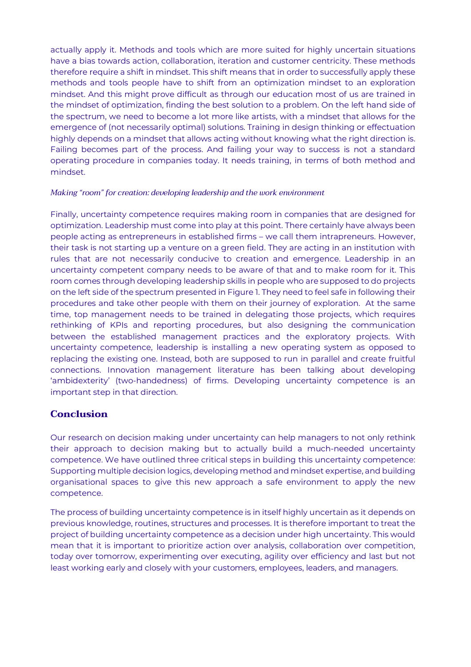actually apply it. Methods and tools which are more suited for highly uncertain situations have a bias towards action, collaboration, iteration and customer centricity. These methods therefore require a shift in mindset. This shift means that in order to successfully apply these methods and tools people have to shift from an optimization mindset to an exploration mindset. And this might prove difficult as through our education most of us are trained in the mindset of optimization, finding the best solution to a problem. On the left hand side of the spectrum, we need to become a lot more like artists, with a mindset that allows for the emergence of (not necessarily optimal) solutions. Training in design thinking or effectuation highly depends on a mindset that allows acting without knowing what the right direction is. Failing becomes part of the process. And failing your way to success is not a standard operating procedure in companies today. It needs training, in terms of both method and mindset.

#### *Making "room" for creation: developing leadership and the work environment*

Finally, uncertainty competence requires making room in companies that are designed for optimization. Leadership must come into play at this point. There certainly have always been people acting as entrepreneurs in established firms – we call them intrapreneurs. However, their task is not starting up a venture on a green field. They are acting in an institution with rules that are not necessarily conducive to creation and emergence. Leadership in an uncertainty competent company needs to be aware of that and to make room for it. This room comes through developing leadership skills in people who are supposed to do projects on the left side of the spectrum presented in Figure 1. They need to feel safe in following their procedures and take other people with them on their journey of exploration. At the same time, top management needs to be trained in delegating those projects, which requires rethinking of KPIs and reporting procedures, but also designing the communication between the established management practices and the exploratory projects. With uncertainty competence, leadership is installing a new operating system as opposed to replacing the existing one. Instead, both are supposed to run in parallel and create fruitful connections. Innovation management literature has been talking about developing 'ambidexterity' (two-handedness) of firms. Developing uncertainty competence is an important step in that direction.

## **Conclusion**

Our research on decision making under uncertainty can help managers to not only rethink their approach to decision making but to actually build a much-needed uncertainty competence. We have outlined three critical steps in building this uncertainty competence: Supporting multiple decision logics, developing method and mindset expertise, and building organisational spaces to give this new approach a safe environment to apply the new competence.

The process of building uncertainty competence is in itself highly uncertain as it depends on previous knowledge, routines, structures and processes. It is therefore important to treat the project of building uncertainty competence as a decision under high uncertainty. This would mean that it is important to prioritize action over analysis, collaboration over competition, today over tomorrow, experimenting over executing, agility over efficiency and last but not least working early and closely with your customers, employees, leaders, and managers.